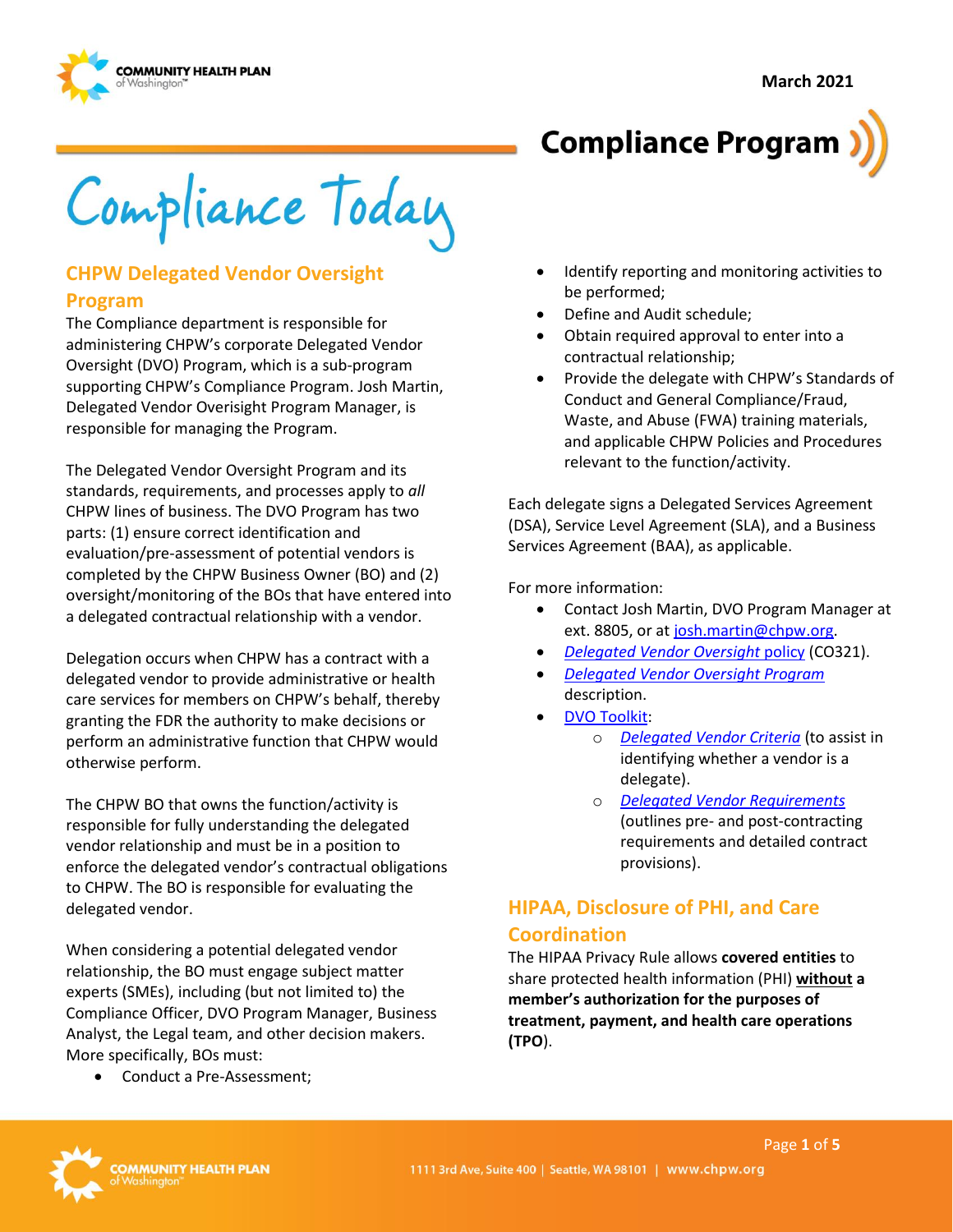



# **Compliance Program**

Compliance Today

# **CHPW Delegated Vendor Oversight**

#### **Program**

The Compliance department is responsible for administering CHPW's corporate Delegated Vendor Oversight (DVO) Program, which is a sub-program supporting CHPW's Compliance Program. Josh Martin, Delegated Vendor Overisight Program Manager, is responsible for managing the Program.

The Delegated Vendor Oversight Program and its standards, requirements, and processes apply to *all* CHPW lines of business. The DVO Program has two parts: (1) ensure correct identification and evaluation/pre-assessment of potential vendors is completed by the CHPW Business Owner (BO) and (2) oversight/monitoring of the BOs that have entered into a delegated contractual relationship with a vendor.

Delegation occurs when CHPW has a contract with a delegated vendor to provide administrative or health care services for members on CHPW's behalf, thereby granting the FDR the authority to make decisions or perform an administrative function that CHPW would otherwise perform.

The CHPW BO that owns the function/activity is responsible for fully understanding the delegated vendor relationship and must be in a position to enforce the delegated vendor's contractual obligations to CHPW. The BO is responsible for evaluating the delegated vendor.

When considering a potential delegated vendor relationship, the BO must engage subject matter experts (SMEs), including (but not limited to) the Compliance Officer, DVO Program Manager, Business Analyst, the Legal team, and other decision makers. More specifically, BOs must:

• Conduct a Pre-Assessment;

- Identify reporting and monitoring activities to be performed;
- Define and Audit schedule;
- Obtain required approval to enter into a contractual relationship;
- Provide the delegate with CHPW's Standards of Conduct and General Compliance/Fraud, Waste, and Abuse (FWA) training materials, and applicable CHPW Policies and Procedures relevant to the function/activity.

Each delegate signs a Delegated Services Agreement (DSA), Service Level Agreement (SLA), and a Business Services Agreement (BAA), as applicable.

For more information:

- Contact Josh Martin, DVO Program Manager at ext. 8805, or at [josh.martin@chpw.org.](mailto:josh.martin@chpw.org)
- *[Delegated Vendor Oversight](http://chpsp/PP/Compliance/Delegated%20Vendor%20Oversight%20Policy%20-%20CO321.pdf)* policy (CO321).
- *[Delegated Vendor Oversight Program](http://chpsp/PP/Compliance/Delegated%20Vendor%20Oversight%20Program%20Description%20-%20CO-PROG5.pdf)*  description.
- [DVO Toolkit:](https://inside.chpw.org/departments/compliance/dvo_toolkit/)
	- o *[Delegated Vendor Criteria](https://inside.chpw.org/departments/compliance/dvo_toolkit/delegated_vendor_criteriapdf~1)* (to assist in identifying whether a vendor is a delegate).
	- o *[Delegated Vendor Requirements](https://inside.chpw.org/departments/compliance/dvo_toolkit/delegated_vendor_requirements_checklistpdf~4)* (outlines pre- and post-contracting requirements and detailed contract provisions).

# **HIPAA, Disclosure of PHI, and Care Coordination**

The HIPAA Privacy Rule allows **covered entities** to share protected health information (PHI) **without a member's authorization for the purposes of treatment, payment, and health care operations (TPO**).

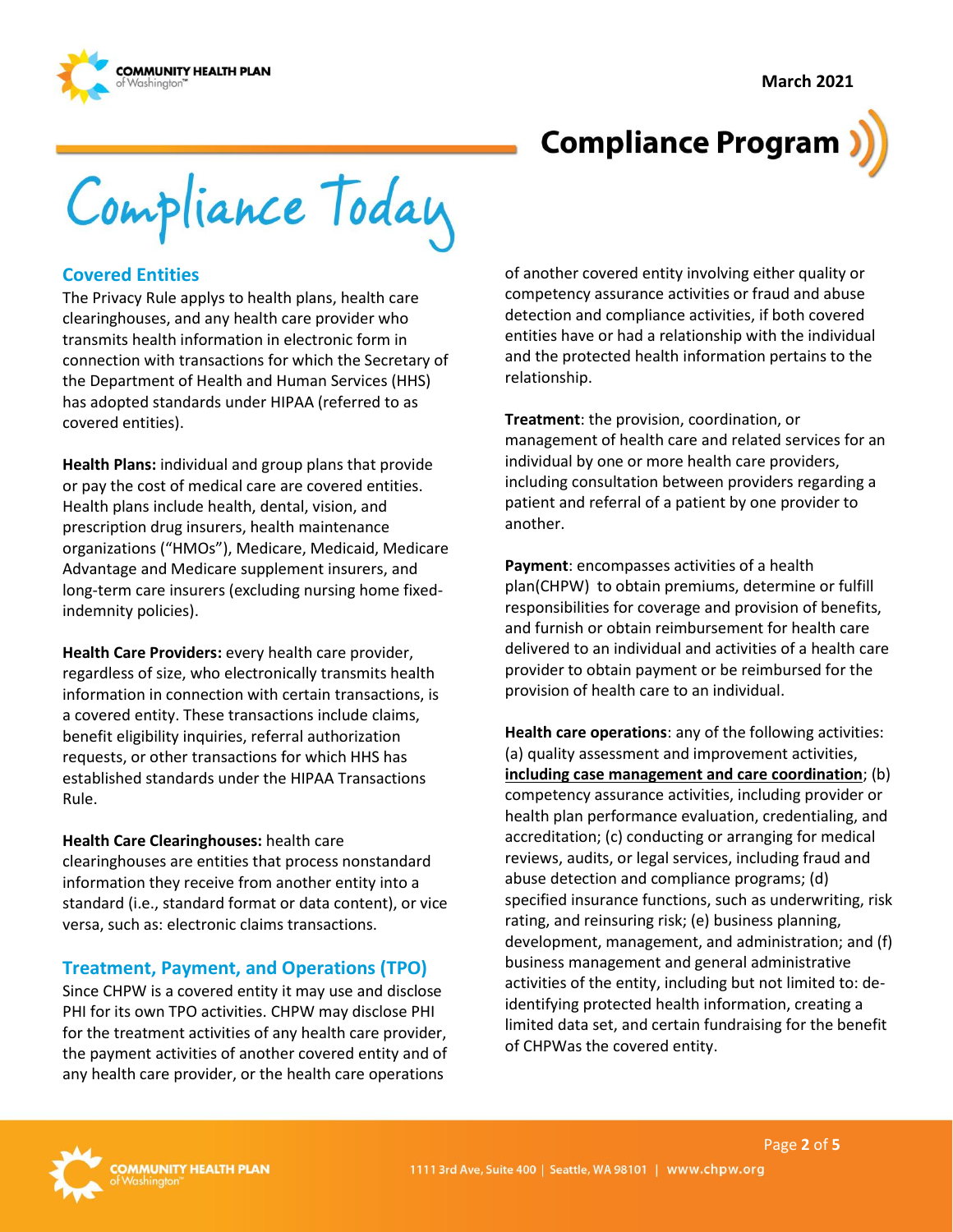**March 2021**



# **Compliance Program**

Compliance Today

#### **Covered Entities**

The Privacy Rule applys to health plans, health care clearinghouses, and any health care provider who transmits health information in electronic form in connection with transactions for which the Secretary of the Department of Health and Human Services (HHS) has adopted standards under HIPAA (referred to as covered entities).

**Health Plans:** individual and group plans that provide or pay the cost of medical care are covered entities. Health plans include health, dental, vision, and prescription drug insurers, health maintenance organizations ("HMOs"), Medicare, Medicaid, Medicare Advantage and Medicare supplement insurers, and long-term care insurers (excluding nursing home fixedindemnity policies).

**Health Care Providers:** every health care provider, regardless of size, who electronically transmits health information in connection with certain transactions, is a covered entity. These transactions include claims, benefit eligibility inquiries, referral authorization requests, or other transactions for which HHS has established standards under the HIPAA Transactions Rule.

#### **Health Care Clearinghouses:** health care

clearinghouses are entities that process nonstandard information they receive from another entity into a standard (i.e., standard format or data content), or vice versa, such as: electronic claims transactions.

# **Treatment, Payment, and Operations (TPO)**

Since CHPW is a covered entity it may use and disclose PHI for its own TPO activities. CHPW may disclose PHI for the treatment activities of any health care provider, the payment activities of another covered entity and of any health care provider, or the health care operations

of another covered entity involving either quality or competency assurance activities or fraud and abuse detection and compliance activities, if both covered entities have or had a relationship with the individual and the protected health information pertains to the relationship.

**Treatment**: the provision, coordination, or management of health care and related services for an individual by one or more health care providers, including consultation between providers regarding a patient and referral of a patient by one provider to another.

**Payment**: encompasses activities of a health plan(CHPW) to obtain premiums, determine or fulfill responsibilities for coverage and provision of benefits, and furnish or obtain reimbursement for health care delivered to an individual and activities of a health care provider to obtain payment or be reimbursed for the provision of health care to an individual.

**Health care operations**: any of the following activities: (a) quality assessment and improvement activities, **including case management and care coordination**; (b) competency assurance activities, including provider or health plan performance evaluation, credentialing, and accreditation; (c) conducting or arranging for medical reviews, audits, or legal services, including fraud and abuse detection and compliance programs; (d) specified insurance functions, such as underwriting, risk rating, and reinsuring risk; (e) business planning, development, management, and administration; and (f) business management and general administrative activities of the entity, including but not limited to: deidentifying protected health information, creating a limited data set, and certain fundraising for the benefit of CHPWas the covered entity.

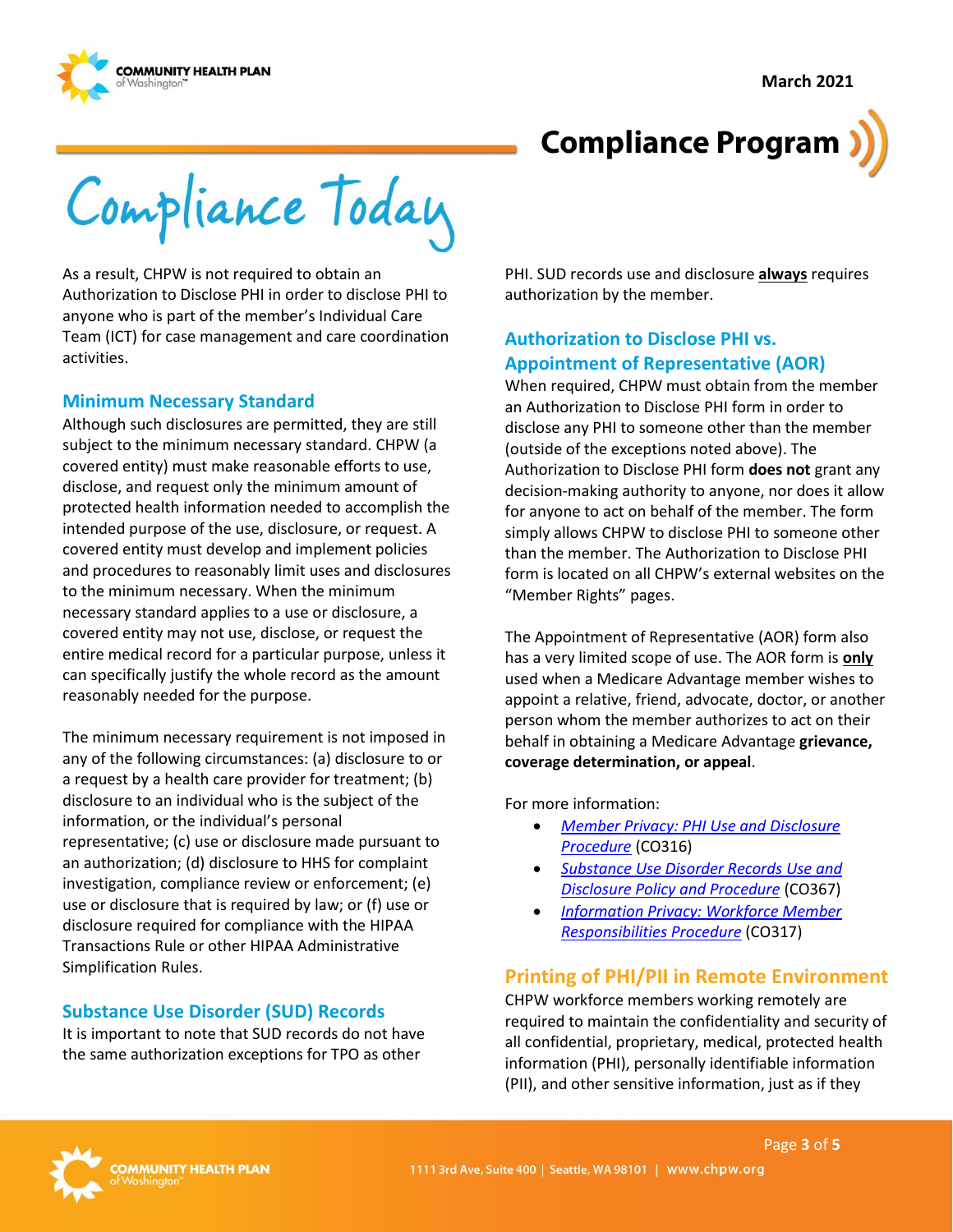



Compliance Today

As a result, CHPW is not required to obtain an Authorization to Disclose PHI in order to disclose PHI to anyone who is part of the member's Individual Care Team (ICT) for case management and care coordination activities.

#### **Minimum Necessary Standard**

Although such disclosures are permitted, they are still subject to the minimum necessary standard. CHPW (a covered entity) must make reasonable efforts to use, disclose, and request only the minimum amount of protected health information needed to accomplish the intended purpose of the use, disclosure, or request. A covered entity must develop and implement policies and procedures to reasonably limit uses and disclosures to the minimum necessary. When the minimum necessary standard applies to a use or disclosure, a covered entity may not use, disclose, or request the entire medical record for a particular purpose, unless it can specifically justify the whole record as the amount reasonably needed for the purpose.

The minimum necessary requirement is not imposed in any of the following circumstances: (a) disclosure to or a request by a health care provider for treatment; (b) disclosure to an individual who is the subject of the information, or the individual's personal representative; (c) use or disclosure made pursuant to an authorization; (d) disclosure to HHS for complaint investigation, compliance review or enforcement; (e) use or disclosure that is required by law; or (f) use or disclosure required for compliance with the HIPAA Transactions Rule or other HIPAA Administrative Simplification Rules.

#### **Substance Use Disorder (SUD) Records**

It is important to note that SUD records do not have the same authorization exceptions for TPO as other

PHI. SUD records use and disclosure **always** requires authorization by the member.

### **Authorization to Disclose PHI vs. Appointment of Representative (AOR)**

When required, CHPW must obtain from the member an Authorization to Disclose PHI form in order to disclose any PHI to someone other than the member (outside of the exceptions noted above). The Authorization to Disclose PHI form **does not** grant any decision-making authority to anyone, nor does it allow for anyone to act on behalf of the member. The form simply allows CHPW to disclose PHI to someone other than the member. The Authorization to Disclose PHI form is located on all CHPW's external websites on the "Member Rights" pages.

The Appointment of Representative (AOR) form also has a very limited scope of use. The AOR form is **only** used when a Medicare Advantage member wishes to appoint a relative, friend, advocate, doctor, or another person whom the member authorizes to act on their behalf in obtaining a Medicare Advantage **grievance, coverage determination, or appeal**.

For more information:

- *[Member Privacy: PHI Use and Disclosure](http://chpsp/PP/Compliance/Member%20Privacy-PHI%20Use%20and%20Disclosure%20Procedure%20-%20CO316.pdf)  [Procedure](http://chpsp/PP/Compliance/Member%20Privacy-PHI%20Use%20and%20Disclosure%20Procedure%20-%20CO316.pdf)* (CO316)
- *[Substance Use Disorder Records Use and](http://chpsp/PP/Compliance/Substance%20Use%20Disorder%20Records%20Use%20and%20Disclosure%20Policy%20and%20Procedure%20-%20CO367.pdf)  Disclosure [Policy and Procedure](http://chpsp/PP/Compliance/Substance%20Use%20Disorder%20Records%20Use%20and%20Disclosure%20Policy%20and%20Procedure%20-%20CO367.pdf)* (CO367)
- *[Information Privacy: Workforce Member](http://chpsp/PP/Compliance/Information%20Privacy%20Workforce%20Member%20Responsibilities%20Procedure%20-%20CO317.pdf)  [Responsibilities](http://chpsp/PP/Compliance/Information%20Privacy%20Workforce%20Member%20Responsibilities%20Procedure%20-%20CO317.pdf) Procedure* (CO317)

# **Printing of PHI/PII in Remote Environment**

CHPW workforce members working remotely are required to maintain the confidentiality and security of all confidential, proprietary, medical, protected health information (PHI), personally identifiable information (PII), and other sensitive information, just as if they

Page **3** of **5**

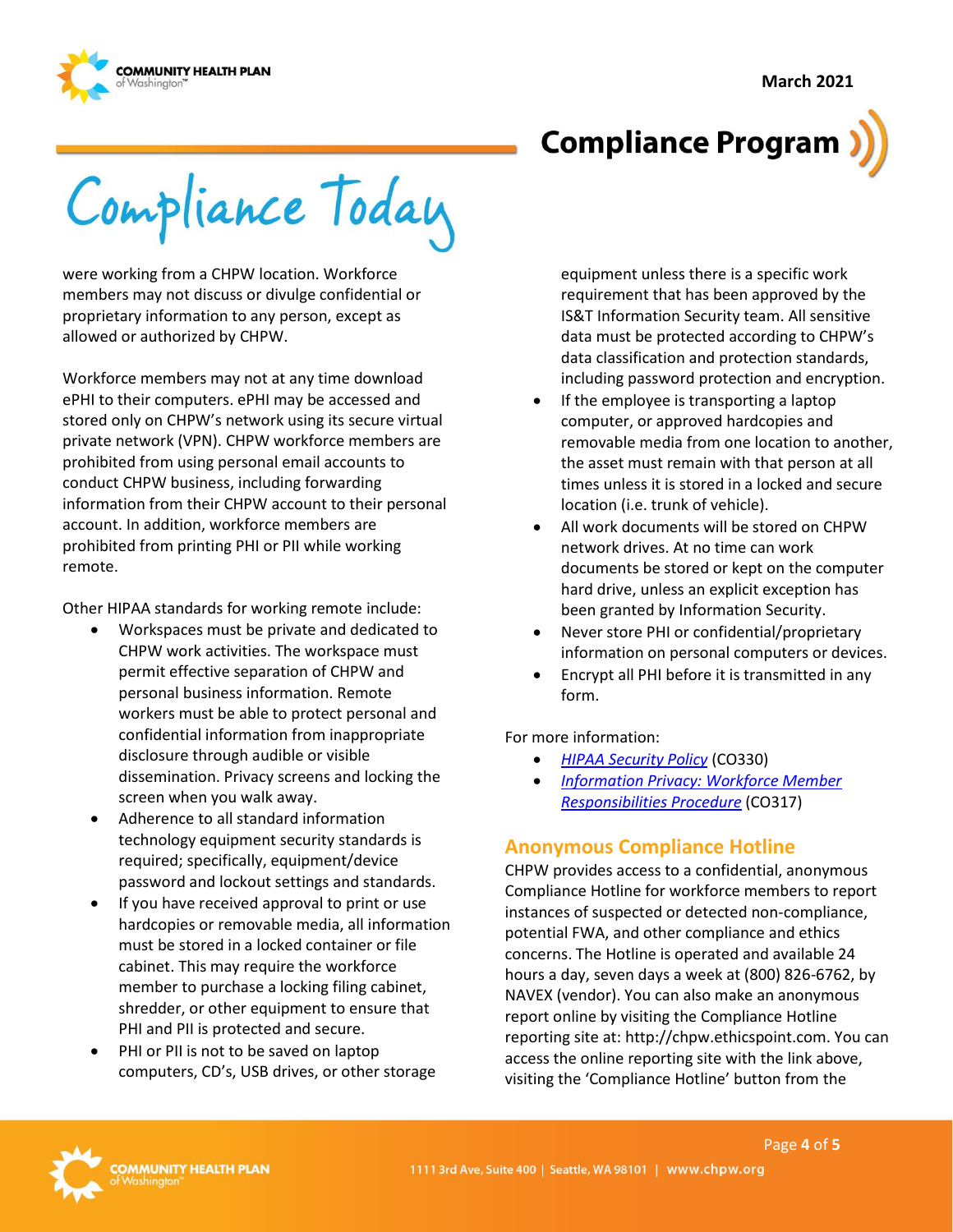



# **Compliance Program**

Compliance Today

were working from a CHPW location. Workforce members may not discuss or divulge confidential or proprietary information to any person, except as allowed or authorized by CHPW.

Workforce members may not at any time download ePHI to their computers. ePHI may be accessed and stored only on CHPW's network using its secure virtual private network (VPN). CHPW workforce members are prohibited from using personal email accounts to conduct CHPW business, including forwarding information from their CHPW account to their personal account. In addition, workforce members are prohibited from printing PHI or PII while working remote.

Other HIPAA standards for working remote include:

- Workspaces must be private and dedicated to CHPW work activities. The workspace must permit effective separation of CHPW and personal business information. Remote workers must be able to protect personal and confidential information from inappropriate disclosure through audible or visible dissemination. Privacy screens and locking the screen when you walk away.
- Adherence to all standard information technology equipment security standards is required; specifically, equipment/device password and lockout settings and standards.
- If you have received approval to print or use hardcopies or removable media, all information must be stored in a locked container or file cabinet. This may require the workforce member to purchase a locking filing cabinet, shredder, or other equipment to ensure that PHI and PII is protected and secure.
- PHI or PII is not to be saved on laptop computers, CD's, USB drives, or other storage

equipment unless there is a specific work requirement that has been approved by the IS&T Information Security team. All sensitive data must be protected according to CHPW's data classification and protection standards, including password protection and encryption.

- If the employee is transporting a laptop computer, or approved hardcopies and removable media from one location to another, the asset must remain with that person at all times unless it is stored in a locked and secure location (i.e. trunk of vehicle).
- All work documents will be stored on CHPW network drives. At no time can work documents be stored or kept on the computer hard drive, unless an explicit exception has been granted by Information Security.
- Never store PHI or confidential/proprietary information on personal computers or devices.
- Encrypt all PHI before it is transmitted in any form.

For more information:

- *[HIPAA Security Policy](http://chpsp/PP/Compliance/HIPAA%20Security%20Policy%20-%20CO330.pdf)* (CO330)
- *[Information Privacy: Workforce Member](http://chpsp/PP/Compliance/Information%20Privacy%20Workforce%20Member%20Responsibilities%20Procedure%20-%20CO317.pdf)  [Responsibilities Procedure](http://chpsp/PP/Compliance/Information%20Privacy%20Workforce%20Member%20Responsibilities%20Procedure%20-%20CO317.pdf)* (CO317)

# **Anonymous Compliance Hotline**

CHPW provides access to a confidential, anonymous Compliance Hotline for workforce members to report instances of suspected or detected non-compliance, potential FWA, and other compliance and ethics concerns. The Hotline is operated and available 24 hours a day, seven days a week at (800) 826-6762, by NAVEX (vendor). You can also make an anonymous report online by visiting the Compliance Hotline reporting site at: http://chpw.ethicspoint.com. You can access the online reporting site with the link above, visiting the 'Compliance Hotline' button from the